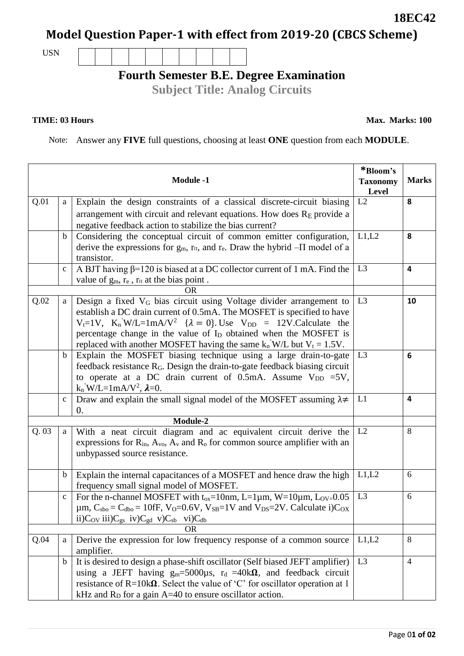## **Model Question Paper-1 with effect from 2019-20 (CBCS Scheme)**

USN

## **Fourth Semester B.E. Degree Examination**

**Subject Title: Analog Circuits**

## **TIME: 03 Hours**

Note: Answer any **FIVE** full questions, choosing at least **ONE** question from each **MODULE**.

| <b>Module -1</b> |              |                                                                                                                                                                                                                                                                                                                                                                                                                                      | *Bloom's<br><b>Taxonomy</b><br>Level | <b>Marks</b>            |
|------------------|--------------|--------------------------------------------------------------------------------------------------------------------------------------------------------------------------------------------------------------------------------------------------------------------------------------------------------------------------------------------------------------------------------------------------------------------------------------|--------------------------------------|-------------------------|
| Q.01             | a            | Explain the design constraints of a classical discrete-circuit biasing                                                                                                                                                                                                                                                                                                                                                               | L2                                   | 8                       |
|                  |              | arrangement with circuit and relevant equations. How does $RE$ provide a                                                                                                                                                                                                                                                                                                                                                             |                                      |                         |
|                  |              | negative feedback action to stabilize the bias current?                                                                                                                                                                                                                                                                                                                                                                              |                                      |                         |
|                  | $\mathbf b$  | Considering the conceptual circuit of common emitter configuration,<br>derive the expressions for $g_m$ , $r_{\text{II}}$ , and $r_e$ . Draw the hybrid $-\Pi$ model of a<br>transistor.                                                                                                                                                                                                                                             | L1,L2                                | 8                       |
|                  | $\mathbf{C}$ | A BJT having $\beta$ =120 is biased at a DC collector current of 1 mA. Find the                                                                                                                                                                                                                                                                                                                                                      | L <sub>3</sub>                       | $\overline{\mathbf{4}}$ |
|                  |              | value of $g_m$ , $r_e$ , $r_{\Pi}$ at the bias point.                                                                                                                                                                                                                                                                                                                                                                                |                                      |                         |
|                  |              | <b>OR</b>                                                                                                                                                                                                                                                                                                                                                                                                                            |                                      |                         |
| Q.02             | $\rm{a}$     | Design a fixed V <sub>G</sub> bias circuit using Voltage divider arrangement to<br>establish a DC drain current of 0.5mA. The MOSFET is specified to have<br>$V_t=1V$ , $K_n$ <sup>'</sup> W/L=1mA/V <sup>2</sup> { $\lambda = 0$ }. Use $V_{DD} = 12V$ . Calculate the<br>percentage change in the value of I <sub>D</sub> obtained when the MOSFET is<br>replaced with another MOSFET having the same $k_n$ W/L but $V_t = 1.5V$ . | L <sub>3</sub>                       | 10                      |
|                  | $\mathbf b$  | Explain the MOSFET biasing technique using a large drain-to-gate<br>feedback resistance R <sub>G</sub> . Design the drain-to-gate feedback biasing circuit<br>to operate at a DC drain current of 0.5mA. Assume $V_{DD} = 5V$ ,<br>$k_n$ W/L=1mA/V <sup>2</sup> , $\lambda$ =0.                                                                                                                                                      | L <sub>3</sub>                       | 6                       |
|                  | $\mathbf c$  | Draw and explain the small signal model of the MOSFET assuming $\lambda \neq$<br>0.                                                                                                                                                                                                                                                                                                                                                  | L1                                   | 4                       |
|                  |              | Module-2                                                                                                                                                                                                                                                                                                                                                                                                                             |                                      |                         |
| Q.03             | a            | With a neat circuit diagram and ac equivalent circuit derive the<br>expressions for $R_{in}$ , $A_{vo}$ , $A_{v}$ and $R_{o}$ for common source amplifier with an<br>unbypassed source resistance.                                                                                                                                                                                                                                   | L2                                   | 8                       |
|                  | b            | Explain the internal capacitances of a MOSFET and hence draw the high<br>frequency small signal model of MOSFET.                                                                                                                                                                                                                                                                                                                     | L1,L2                                | 6                       |
|                  | $\mathbf c$  | For the n-channel MOSFET with $t_{ox} = 10$ nm, L=1 $\mu$ m, W=10 $\mu$ m, L <sub>OV=</sub> 0.05<br>$\mu$ m, C <sub>sbo</sub> = C <sub>dbo</sub> = 10fF, V <sub>O</sub> =0.6V, V <sub>SB</sub> =1V and V <sub>DS</sub> =2V. Calculate i)C <sub>OX</sub><br>ii) $C_{\text{OV}}$ iii) $C_{\text{gs}}$ iv) $C_{\text{gd}}$ v) $C_{\text{sb}}$ vi) $C_{\text{db}}$                                                                       | L <sub>3</sub>                       | 6                       |
|                  |              | <b>OR</b>                                                                                                                                                                                                                                                                                                                                                                                                                            |                                      |                         |
| Q.04             | a            | Derive the expression for low frequency response of a common source<br>amplifier.                                                                                                                                                                                                                                                                                                                                                    | L1,L2                                | 8                       |
|                  | $\mathbf b$  | It is desired to design a phase-shift oscillator (Self biased JEFT amplifier)<br>using a JEFT having $g_m = 5000 \mu s$ , $r_d = 40 \kappa \Omega$ , and feedback circuit<br>resistance of $R=10k\Omega$ . Select the value of 'C' for oscillator operation at 1<br>kHz and $R_D$ for a gain A=40 to ensure oscillator action.                                                                                                       | L <sub>3</sub>                       | $\overline{4}$          |

**18EC42**

**Max. Marks: 100**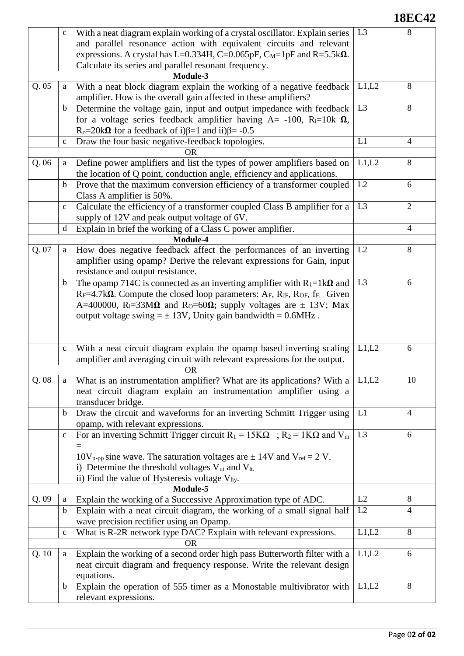## **18EC42**

|       | $\mathbf c$  | With a neat diagram explain working of a crystal oscillator. Explain series                                                                             | L <sub>3</sub> | 8              |
|-------|--------------|---------------------------------------------------------------------------------------------------------------------------------------------------------|----------------|----------------|
|       |              | and parallel resonance action with equivalent circuits and relevant<br>expressions. A crystal has L=0.334H, C=0.065pF, $C_M$ =1pF and R=5.5k $\Omega$ . |                |                |
|       |              | Calculate its series and parallel resonant frequency.                                                                                                   |                |                |
|       |              | Module-3                                                                                                                                                |                |                |
| Q.05  | a            | With a neat block diagram explain the working of a negative feedback                                                                                    | L1,L2          | 8              |
|       |              | amplifier. How is the overall gain affected in these amplifiers?                                                                                        |                |                |
|       | $\mathbf b$  | Determine the voltage gain, input and output impedance with feedback                                                                                    | L <sub>3</sub> | 8              |
|       |              | for a voltage series feedback amplifier having $A = -100$ , $R_i = 10k \Omega$ ,                                                                        |                |                |
|       |              | R <sub>o</sub> =20k $\Omega$ for a feedback of i) $\beta$ =1 and ii) $\beta$ = -0.5                                                                     |                |                |
|       | $\mathbf{C}$ | Draw the four basic negative-feedback topologies.                                                                                                       | L1             | $\overline{4}$ |
|       |              | OR                                                                                                                                                      |                |                |
| Q.06  | a            | Define power amplifiers and list the types of power amplifiers based on<br>the location of Q point, conduction angle, efficiency and applications.      | L1,L2          | 8              |
|       | $\mathbf b$  | Prove that the maximum conversion efficiency of a transformer coupled                                                                                   | L2             | 6              |
|       |              | Class A amplifier is 50%.                                                                                                                               |                |                |
|       | $\mathbf{C}$ | Calculate the efficiency of a transformer coupled Class B amplifier for a                                                                               | L <sub>3</sub> | 2              |
|       |              | supply of 12V and peak output voltage of 6V.                                                                                                            |                |                |
|       | d            | Explain in brief the working of a Class C power amplifier.                                                                                              |                | $\overline{4}$ |
|       |              | Module-4                                                                                                                                                |                |                |
| Q. 07 | a            | How does negative feedback affect the performances of an inverting                                                                                      | L2             | 8              |
|       |              | amplifier using opamp? Derive the relevant expressions for Gain, input                                                                                  |                |                |
|       |              | resistance and output resistance.                                                                                                                       |                |                |
|       | $\mathbf b$  | The opamp 714C is connected as an inverting amplifier with $R_1=1k\Omega$ and                                                                           | L <sub>3</sub> | 6              |
|       |              | $R_F=4.7k\Omega$ . Compute the closed loop parameters: $A_F$ , $R_{IF}$ , $R_{OF}$ , $f_F$ . Given                                                      |                |                |
|       |              | A=400000, R <sub>i</sub> =33M $\Omega$ and R <sub>0</sub> =60 $\Omega$ ; supply voltages are $\pm$ 13V; Max                                             |                |                |
|       |              | output voltage swing $= \pm 13V$ , Unity gain bandwidth = 0.6MHz.                                                                                       |                |                |
|       |              |                                                                                                                                                         |                |                |
|       | $\mathbf{C}$ | With a neat circuit diagram explain the opamp based inverting scaling                                                                                   | L1,L2          | 6              |
|       |              | amplifier and averaging circuit with relevant expressions for the output.                                                                               |                |                |
|       |              | <b>OR</b>                                                                                                                                               |                |                |
| Q.08  | a            | What is an instrumentation amplifier? What are its applications? With a                                                                                 | L1,L2          | 10             |
|       |              | neat circuit diagram explain an instrumentation amplifier using a                                                                                       |                |                |
|       |              | transducer bridge.                                                                                                                                      |                |                |
|       | $\mathbf b$  | Draw the circuit and waveforms for an inverting Schmitt Trigger using                                                                                   | L1             | $\overline{4}$ |
|       |              | opamp, with relevant expressions.                                                                                                                       |                |                |
|       | $\mathbf c$  | For an inverting Schmitt Trigger circuit $R_1 = 15K\Omega$ ; $R_2 = 1K\Omega$ and $V_{in}$                                                              | L <sub>3</sub> | 6              |
|       |              |                                                                                                                                                         |                |                |
|       |              | $10V_{p-pp}$ sine wave. The saturation voltages are $\pm$ 14V and V <sub>ref</sub> = 2 V.                                                               |                |                |
|       |              | i) Determine the threshold voltages $V_{ut}$ and $V_{lt}$ .                                                                                             |                |                |
|       |              | ii) Find the value of Hysteresis voltage $V_{\text{hy}}$ .                                                                                              |                |                |
|       |              | Module-5                                                                                                                                                |                |                |
| Q.09  | a            | Explain the working of a Successive Approximation type of ADC.                                                                                          | L2             | 8              |
|       | $\mathbf b$  | Explain with a neat circuit diagram, the working of a small signal half                                                                                 | L2             | $\overline{4}$ |
|       |              | wave precision rectifier using an Opamp.                                                                                                                |                |                |
|       | $\mathbf{C}$ | What is R-2R network type DAC? Explain with relevant expressions.                                                                                       | L1,L2          | 8              |
|       |              | <b>OR</b>                                                                                                                                               |                |                |
| Q.10  | a            | Explain the working of a second order high pass Butterworth filter with a                                                                               | L1,L2          | 6              |
|       |              | neat circuit diagram and frequency response. Write the relevant design                                                                                  |                |                |
|       |              | equations.                                                                                                                                              |                |                |
|       | $\mathbf b$  | Explain the operation of 555 timer as a Monostable multivibrator with                                                                                   | L1,L2          | 8              |
|       |              | relevant expressions.                                                                                                                                   |                |                |